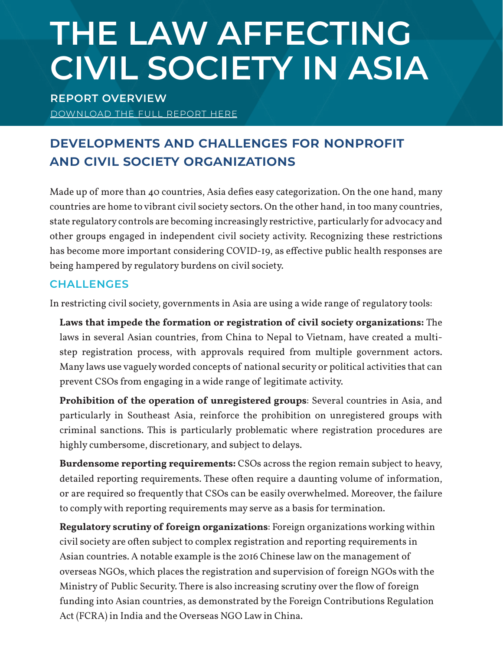# **THE LAW AFFECTING CIVIL SOCIETY IN ASIA**

**REPORT OVERVIEW** DOWNLOAD THE FULL REPORT HERE

# **Developments and Challenges for Nonprofit and Civil Society Organizations**

Made up of more than 40 countries, Asia defies easy categorization. On the one hand, many countries are home to vibrant civil society sectors. On the other hand, in too many countries, state regulatory controls are becoming increasingly restrictive, particularly for advocacy and other groups engaged in independent civil society activity. Recognizing these restrictions has become more important considering COVID-19, as effective public health responses are being hampered by regulatory burdens on civil society.

#### **CHALLENGES**

In restricting civil society, governments in Asia are using a wide range of regulatory tools:

**Laws that impede the formation or registration of civil society organizations:** The laws in several Asian countries, from China to Nepal to Vietnam, have created a multistep registration process, with approvals required from multiple government actors. Many laws use vaguely worded concepts of national security or political activities that can prevent CSOs from engaging in a wide range of legitimate activity.

**Prohibition of the operation of unregistered groups**: Several countries in Asia, and particularly in Southeast Asia, reinforce the prohibition on unregistered groups with criminal sanctions. This is particularly problematic where registration procedures are highly cumbersome, discretionary, and subject to delays.

**Burdensome reporting requirements:** CSOs across the region remain subject to heavy, detailed reporting requirements. These often require a daunting volume of information, or are required so frequently that CSOs can be easily overwhelmed. Moreover, the failure to comply with reporting requirements may serve as a basis for termination.

**Regulatory scrutiny of foreign organizations**: Foreign organizations working within civil society are often subject to complex registration and reporting requirements in Asian countries. A notable example is the 2016 Chinese law on the management of overseas NGOs, which places the registration and supervision of foreign NGOs with the Ministry of Public Security. There is also increasing scrutiny over the flow of foreign funding into Asian countries, as demonstrated by the Foreign Contributions Regulation Act (FCRA) in India and the Overseas NGO Law in China.